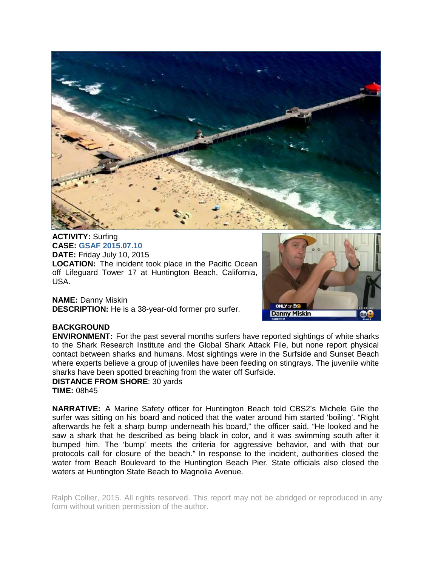

**ACTIVITY:** Surfing **CASE: GSAF 2015.07.10 DATE:** Friday July 10, 2015 **LOCATION:** The incident took place in the Pacific Ocean off Lifeguard Tower 17 at Huntington Beach, California, USA.

**NAME:** Danny Miskin **DESCRIPTION:** He is a 38-year-old former pro surfer.



## **BACKGROUND**

**ENVIRONMENT:** For the past several months surfers have reported sightings of white sharks to the Shark Research Institute and the Global Shark Attack File, but none report physical contact between sharks and humans. Most sightings were in the Surfside and Sunset Beach where experts believe a group of juveniles have been feeding on stingrays. The juvenile white sharks have been spotted breaching from the water off Surfside.

**DISTANCE FROM SHORE**: 30 yards **TIME:** 08h45

**NARRATIVE:** A Marine Safety officer for Huntington Beach told CBS2's Michele Gile the surfer was sitting on his board and noticed that the water around him started 'boiling'. "Right afterwards he felt a sharp bump underneath his board," the officer said. "He looked and he saw a shark that he described as being black in color, and it was swimming south after it bumped him. The 'bump' meets the criteria for aggressive behavior, and with that our protocols call for closure of the beach." In response to the incident, authorities closed the water from Beach Boulevard to the Huntington Beach Pier. State officials also closed the waters at Huntington State Beach to Magnolia Avenue.

Ralph Collier, 2015. All rights reserved. This report may not be abridged or reproduced in any form without written permission of the author.